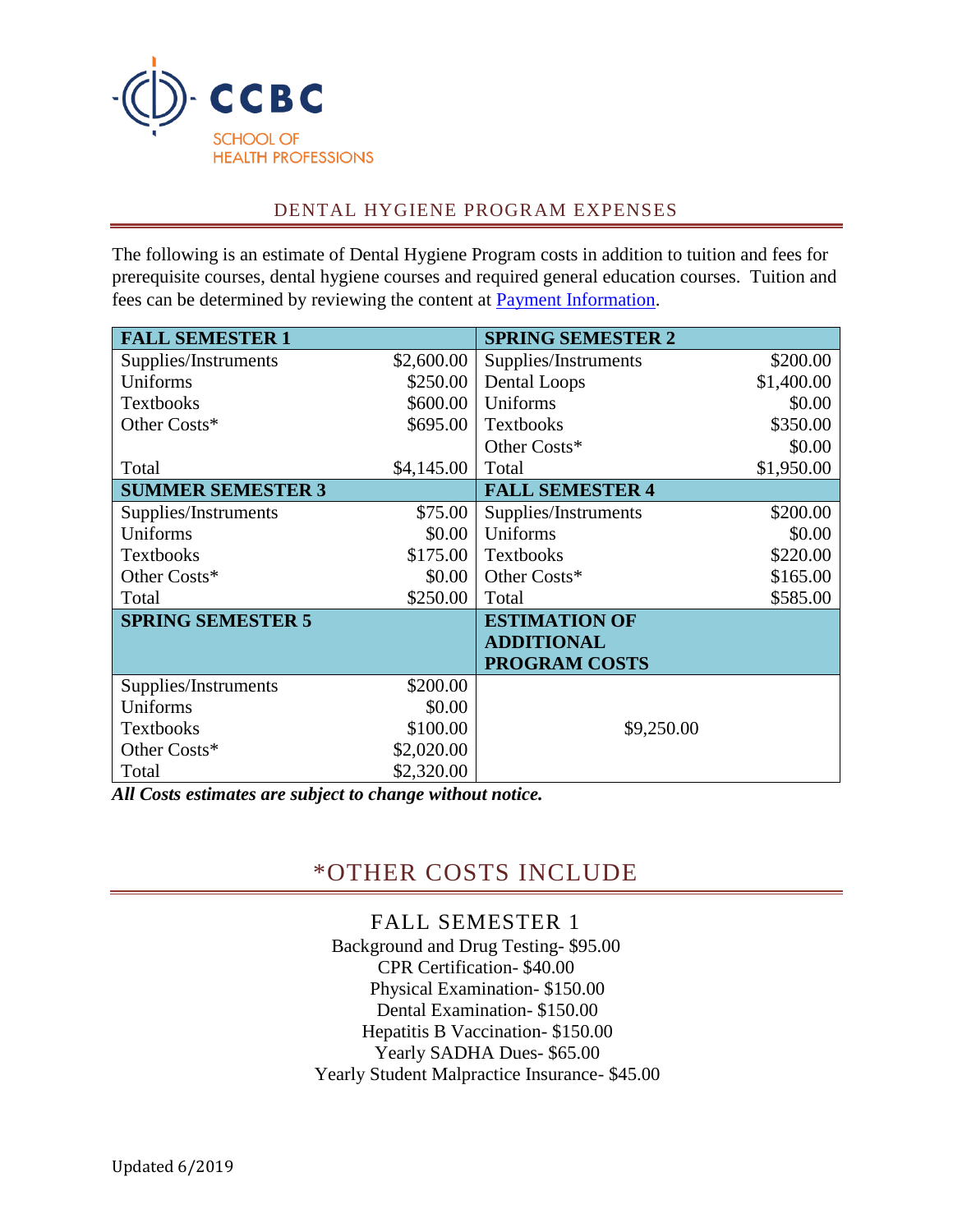

#### DENTAL HYGIENE PROGRAM EXPENSES

The following is an estimate of Dental Hygiene Program costs in addition to tuition and fees for prerequisite courses, dental hygiene courses and required general education courses. Tuition and fees can be determined by reviewing the content at [Payment Information.](http://www.ccbcmd.edu/registration/tuition.html)

| <b>FALL SEMESTER 1</b>   |            | <b>SPRING SEMESTER 2</b> |            |
|--------------------------|------------|--------------------------|------------|
| Supplies/Instruments     | \$2,600.00 | Supplies/Instruments     | \$200.00   |
| Uniforms                 | \$250.00   | Dental Loops             | \$1,400.00 |
| <b>Textbooks</b>         | \$600.00   | Uniforms                 | \$0.00     |
| Other Costs*             | \$695.00   | <b>Textbooks</b>         | \$350.00   |
|                          |            | Other Costs*             | \$0.00     |
| Total                    | \$4,145.00 | Total                    | \$1,950.00 |
| <b>SUMMER SEMESTER 3</b> |            | <b>FALL SEMESTER 4</b>   |            |
| Supplies/Instruments     | \$75.00    | Supplies/Instruments     | \$200.00   |
| Uniforms                 | \$0.00     | Uniforms                 | \$0.00     |
| Textbooks                | \$175.00   | Textbooks                | \$220.00   |
| Other Costs*             | \$0.00     | Other Costs*             | \$165.00   |
| Total                    | \$250.00   | Total                    | \$585.00   |
| <b>SPRING SEMESTER 5</b> |            | <b>ESTIMATION OF</b>     |            |
|                          |            | <b>ADDITIONAL</b>        |            |
|                          |            | <b>PROGRAM COSTS</b>     |            |
| Supplies/Instruments     | \$200.00   |                          |            |
| Uniforms                 | \$0.00     |                          |            |
| Textbooks                | \$100.00   | \$9,250.00               |            |
| Other Costs*             | \$2,020.00 |                          |            |
| Total                    | \$2,320.00 |                          |            |

*All Costs estimates are subject to change without notice.*

# \*OTHER COSTS INCLUDE

## FALL SEMESTER 1

Background and Drug Testing- \$95.00 CPR Certification- \$40.00 Physical Examination- \$150.00 Dental Examination- \$150.00 Hepatitis B Vaccination- \$150.00 Yearly SADHA Dues- \$65.00 Yearly Student Malpractice Insurance- \$45.00